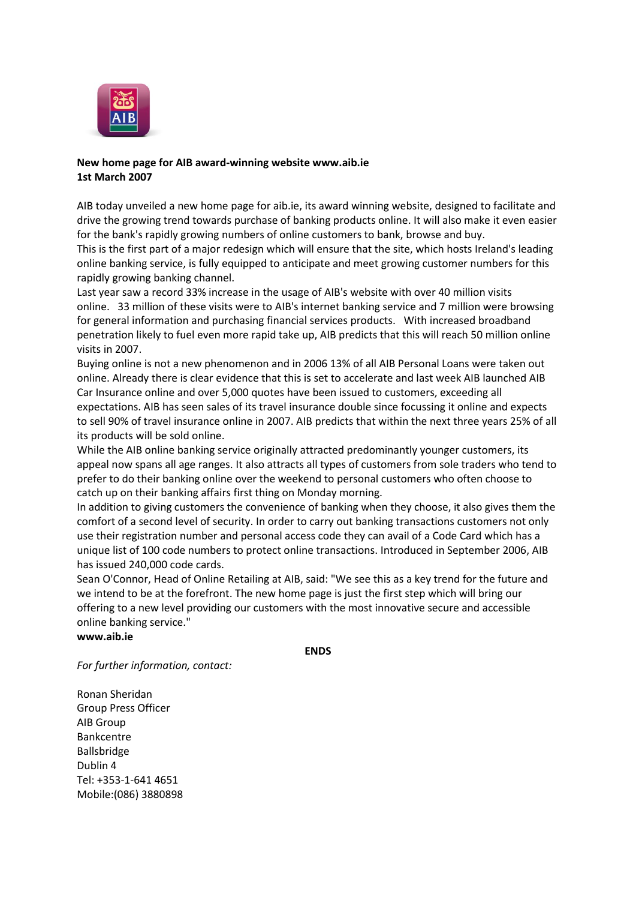

## **New home page for AIB award-winning website www.aib.ie 1st March 2007**

AIB today unveiled a new home page for aib.ie, its award winning website, designed to facilitate and drive the growing trend towards purchase of banking products online. It will also make it even easier for the bank's rapidly growing numbers of online customers to bank, browse and buy.

This is the first part of a major redesign which will ensure that the site, which hosts Ireland's leading online banking service, is fully equipped to anticipate and meet growing customer numbers for this rapidly growing banking channel.

Last year saw a record 33% increase in the usage of AIB's website with over 40 million visits online. 33 million of these visits were to AIB's internet banking service and 7 million were browsing for general information and purchasing financial services products. With increased broadband penetration likely to fuel even more rapid take up, AIB predicts that this will reach 50 million online visits in 2007.

Buying online is not a new phenomenon and in 2006 13% of all AIB Personal Loans were taken out online. Already there is clear evidence that this is set to accelerate and last week AIB launched AIB Car Insurance online and over 5,000 quotes have been issued to customers, exceeding all expectations. AIB has seen sales of its travel insurance double since focussing it online and expects to sell 90% of travel insurance online in 2007. AIB predicts that within the next three years 25% of all its products will be sold online.

While the AIB online banking service originally attracted predominantly younger customers, its appeal now spans all age ranges. It also attracts all types of customers from sole traders who tend to prefer to do their banking online over the weekend to personal customers who often choose to catch up on their banking affairs first thing on Monday morning.

In addition to giving customers the convenience of banking when they choose, it also gives them the comfort of a second level of security. In order to carry out banking transactions customers not only use their registration number and personal access code they can avail of a Code Card which has a unique list of 100 code numbers to protect online transactions. Introduced in September 2006, AIB has issued 240,000 code cards.

Sean O'Connor, Head of Online Retailing at AIB, said: "We see this as a key trend for the future and we intend to be at the forefront. The new home page is just the first step which will bring our offering to a new level providing our customers with the most innovative secure and accessible online banking service."

**[www.aib.ie](http://www.aib.ie/)**

**ENDS**

*For further information, contact:*

Ronan Sheridan Group Press Officer AIB Group Bankcentre Ballsbridge Dublin 4 Tel: +353-1-641 4651 Mobile:(086) 3880898